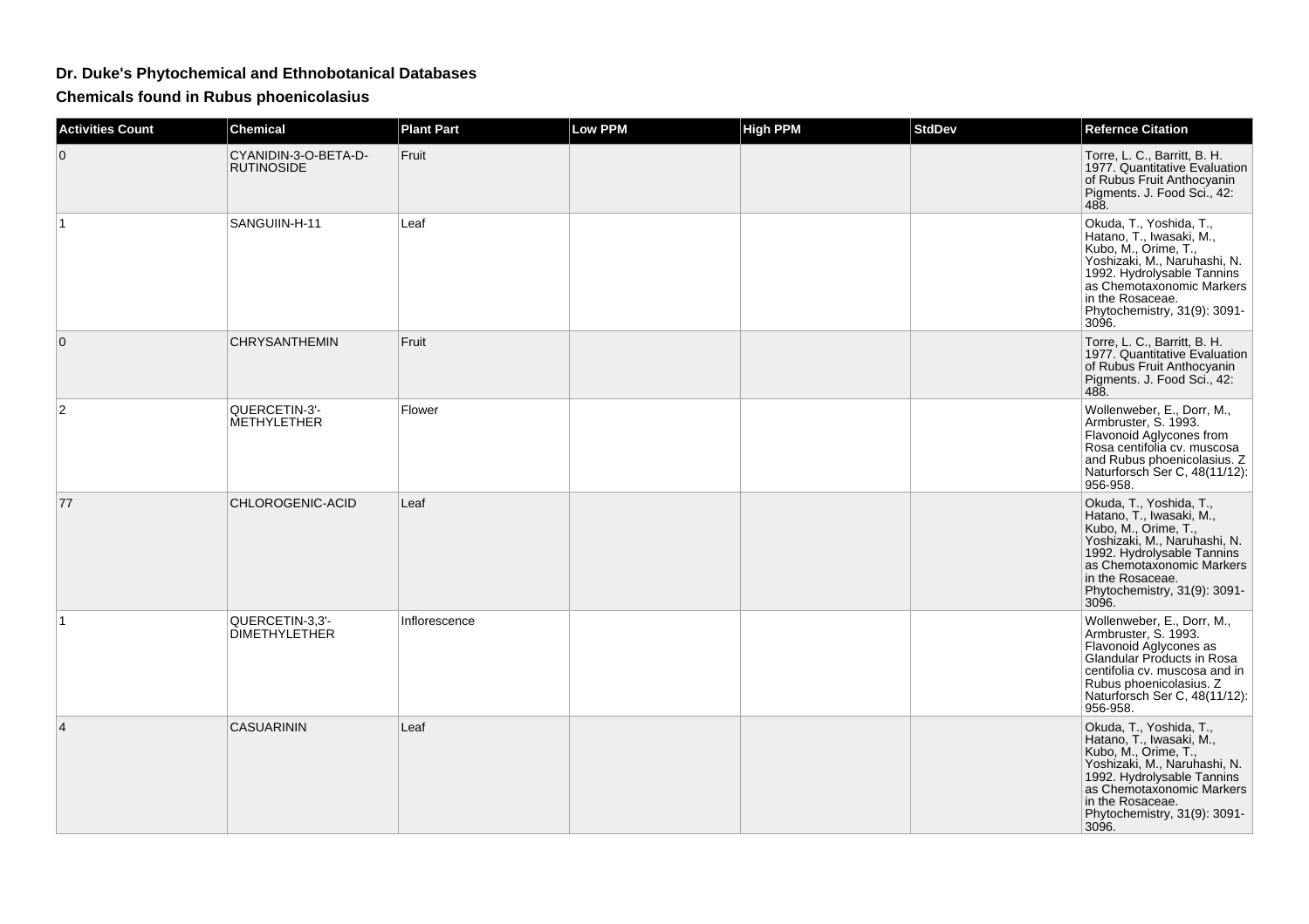## **Dr. Duke's Phytochemical and Ethnobotanical Databases**

**Chemicals found in Rubus phoenicolasius**

| <b>Activities Count</b> | <b>Chemical</b>                           | <b>Plant Part</b> | <b>Low PPM</b> | <b>High PPM</b> | StdDev | <b>Refernce Citation</b>                                                                                                                                                                                                                                    |
|-------------------------|-------------------------------------------|-------------------|----------------|-----------------|--------|-------------------------------------------------------------------------------------------------------------------------------------------------------------------------------------------------------------------------------------------------------------|
| $\mathbf{0}$            | CYANIDIN-3-O-BETA-D-<br><b>RUTINOSIDE</b> | Fruit             |                |                 |        | Torre, L. C., Barritt, B. H.<br>1977. Quantitative Evaluation<br>of Rubus Fruit Anthocyanin<br>Pigments. J. Food Sci., 42:<br>488.                                                                                                                          |
|                         | SANGUIIN-H-11                             | Leaf              |                |                 |        | Okuda, T., Yoshida, T.,<br>Hatano, T., Iwasaki, M.,<br>Kubo, M., Orime, T.,<br>Yoshizaki, M., Naruhashi, N.<br>1992. Hydrolysable Tannins<br>as Chemotaxonomic Markers<br>in the Rosaceae.<br>Phytochemistry, 31(9): 3091-<br>3096.                         |
| $\mathbf{0}$            | <b>CHRYSANTHEMIN</b>                      | Fruit             |                |                 |        | Torre, L. C., Barritt, B. H.<br>1977. Quantitative Evaluation<br>of Rubus Fruit Anthocyanin<br>Pigments. J. Food Sci., 42:<br> 488.                                                                                                                         |
| 2                       | QUERCETIN-3'-<br><b>METHYLETHER</b>       | Flower            |                |                 |        | Wollenweber, E., Dorr, M.,<br>Armbruster, S. 1993.<br>Flavonoid Aglycones from<br>Rosa centifolia cv. muscosa<br>and Rubus phoenicolasius. Z<br>Naturforsch Ser C, 48(11/12):<br>956-958.                                                                   |
| 77                      | CHLOROGENIC-ACID                          | Leaf              |                |                 |        | Okuda, T., Yoshida, T.,<br>Hatano, T., Iwasaki, M.,<br>Kubo, M., Orime, T.,<br>Kubo, M., Orime, T.,<br>Yoshizaki, M., Naruhashi, N.<br>1992. Hydrolysable Tannins<br>as Chemotaxonomic Markers<br>in the Rosaceae.<br>Phytochemistry, 31(9): 3091-<br>3096. |
|                         | QUERCETIN-3.3'-<br><b>DIMETHYLETHER</b>   | Inflorescence     |                |                 |        | Wollenweber, E., Dorr, M.,<br>Armbruster, S. 1993.<br>Flavonoid Aglycones as<br>Glandular Products in Rosa<br>centifolia cv. muscosa and in<br>Rubus phoenicolasius. Z<br>Naturforsch Ser C, 48(11/12):<br>956-958.                                         |
| 4                       | <b>CASUARININ</b>                         | Leaf              |                |                 |        | Okuda, T., Yoshida, T.,<br>Hatano, T., Iwasaki, M.,<br>Kubo, M., Orime, T.,<br>Kubo, M., Orime, T.,<br>Yoshizaki, M., Naruhashi, N.<br>1992. Hydrolysable Tannins<br>as Chemotaxonomic Markers<br>in the Rosaceae.<br>Phytochemistry, 31(9): 3091-<br>3096. |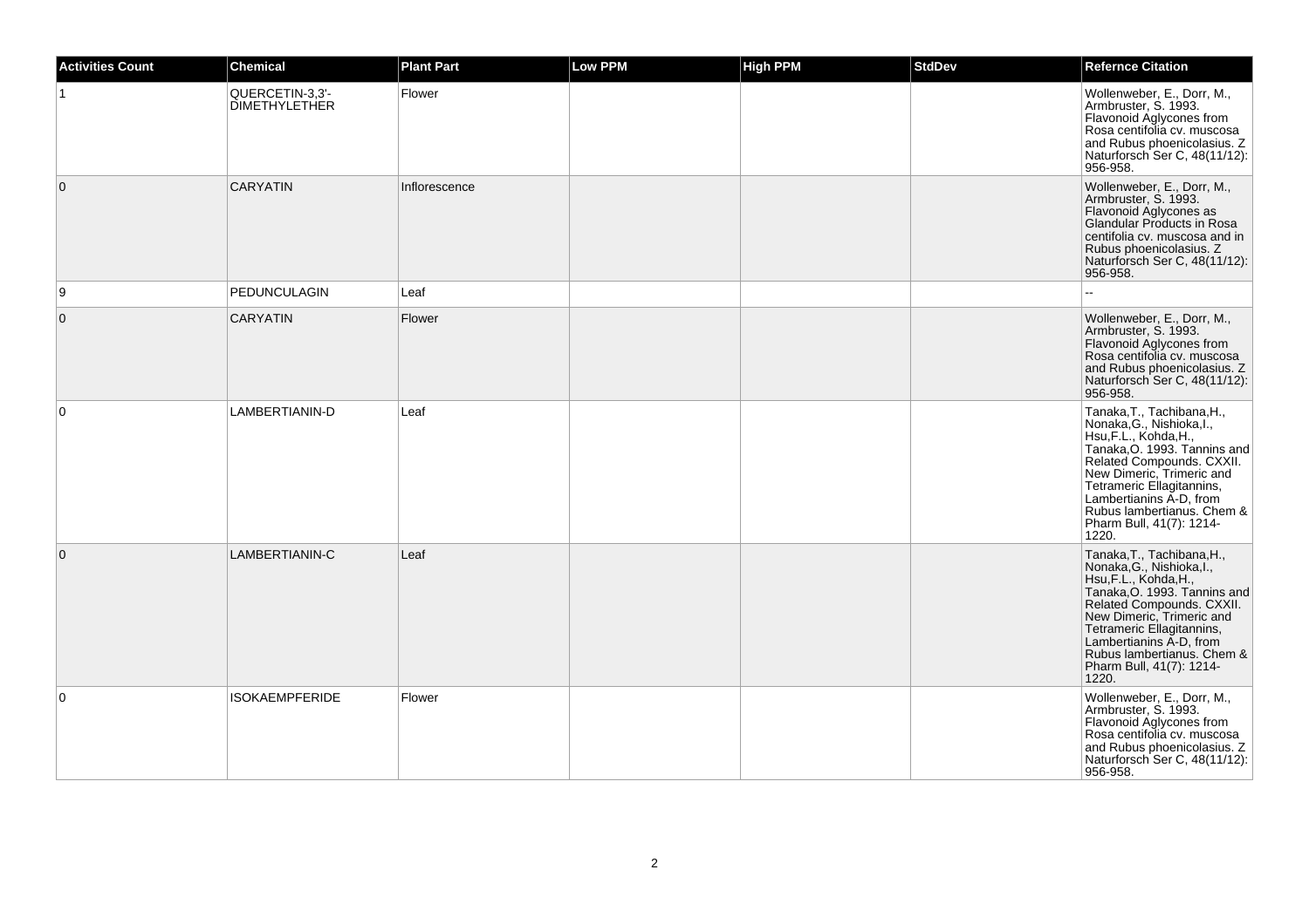| <b>Activities Count</b> | <b>Chemical</b>                         | <b>Plant Part</b> | <b>Low PPM</b> | <b>High PPM</b> | <b>StdDev</b> | <b>Refernce Citation</b>                                                                                                                                                                                                                                                                              |
|-------------------------|-----------------------------------------|-------------------|----------------|-----------------|---------------|-------------------------------------------------------------------------------------------------------------------------------------------------------------------------------------------------------------------------------------------------------------------------------------------------------|
|                         | QUERCETIN-3,3'-<br><b>DIMETHYLETHER</b> | Flower            |                |                 |               | Wollenweber, E., Dorr, M.,<br>Armbruster, S. 1993.<br>Flavonoid Aglycones from<br>Rosa centifolia cv. muscosa<br>and Rubus phoenicolasius. Z<br>Naturforsch Ser C, 48(11/12):<br>956-958.                                                                                                             |
| $\mathbf 0$             | <b>CARYATIN</b>                         | Inflorescence     |                |                 |               | Wollenweber, E., Dorr, M.,<br>Armbruster, S. 1993.<br>Flavonoid Aglycones as<br>Glandular Products in Rosa<br>centifolia cv. muscosa and in<br>Rubus phoenicolasius. Z<br>Naturforsch Ser C, 48(11/12):<br>956-958.                                                                                   |
| 9                       | PEDUNCULAGIN                            | Leaf              |                |                 |               |                                                                                                                                                                                                                                                                                                       |
| $\mathbf 0$             | <b>CARYATIN</b>                         | Flower            |                |                 |               | Wollenweber, E., Dorr, M.,<br>Armbruster, S. 1993.<br>Flavonoid Aglycones from<br>Rosa centifolia cv. muscosa<br>and Rubus phoenicolasius. Z<br>Naturforsch Ser C, 48(11/12):<br>956-958.                                                                                                             |
| $\mathbf 0$             | LAMBERTIANIN-D                          | Leaf              |                |                 |               | Tanaka, T., Tachibana, H.,<br>Nonaka, G., Nishioka, I.,<br>Hsu, F.L., Kohda, H.,<br>Tanaka, O. 1993. Tannins and<br>Related Compounds. CXXII.<br>New Dimeric, Trimeric and<br>Tetrameric Ellagitannins,<br>Lambertianins A-D, from<br>Rubus lambertianus. Chem &<br>Pharm Bull, 41(7): 1214-<br>1220. |
| $\mathbf 0$             | LAMBERTIANIN-C                          | Leaf              |                |                 |               | Tanaka, T., Tachibana, H.,<br>Nonaka, G., Nishioka, I.,<br>Hsu, F.L., Kohda, H.,<br>Tanaka, O. 1993. Tannins and<br>Related Compounds. CXXII.<br>New Dimeric, Trimeric and<br>Tetrameric Ellagitannins,<br>Lambertianins A-D, from<br>Rubus lambertianus. Chem &<br>Pharm Bull, 41(7): 1214-<br>1220. |
| 0                       | <b>ISOKAEMPFERIDE</b>                   | Flower            |                |                 |               | Wollenweber, E., Dorr, M.,<br>Armbruster, S. 1993.<br>Flavonoid Aglycones from<br>Rosa centifolia cv. muscosa<br>and Rubus phoenicolasius. Z<br>Naturforsch Ser C, 48(11/12):<br>956-958.                                                                                                             |